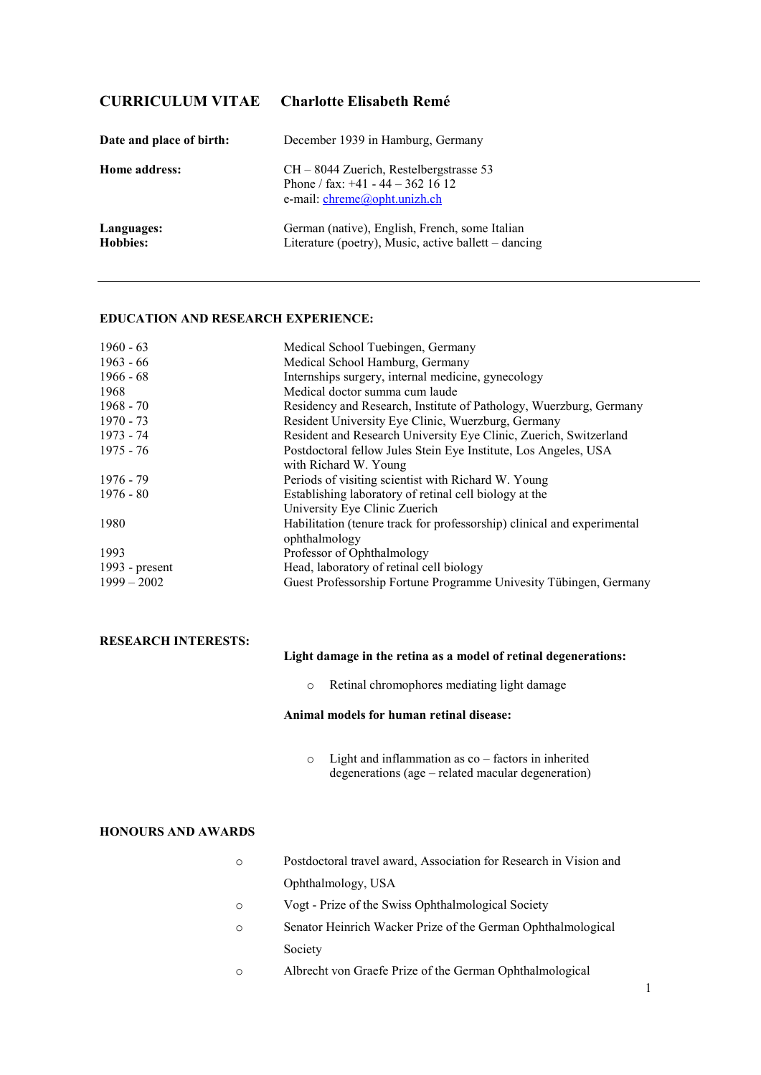# **CURRICULUM VITAE Charlotte Elisabeth Remé**

| Date and place of birth:      | December 1939 in Hamburg, Germany                                                                                          |
|-------------------------------|----------------------------------------------------------------------------------------------------------------------------|
| Home address:                 | $CH - 8044$ Zuerich, Restelbergstrasse 53<br>Phone / fax: $+41 - 44 - 362$ 16 12<br>e-mail: $chreme(\omega)$ opht.unizh.ch |
| Languages:<br><b>Hobbies:</b> | German (native), English, French, some Italian<br>Literature (poetry), Music, active ballett – dancing                     |

# **EDUCATION AND RESEARCH EXPERIENCE:**

| $1960 - 63$      | Medical School Tuebingen, Germany                                       |
|------------------|-------------------------------------------------------------------------|
| $1963 - 66$      | Medical School Hamburg, Germany                                         |
| $1966 - 68$      | Internships surgery, internal medicine, gynecology                      |
| 1968             | Medical doctor summa cum laude                                          |
| $1968 - 70$      | Residency and Research, Institute of Pathology, Wuerzburg, Germany      |
| $1970 - 73$      | Resident University Eye Clinic, Wuerzburg, Germany                      |
| 1973 - 74        | Resident and Research University Eye Clinic, Zuerich, Switzerland       |
| $1975 - 76$      | Postdoctoral fellow Jules Stein Eye Institute, Los Angeles, USA         |
|                  | with Richard W. Young                                                   |
| $1976 - 79$      | Periods of visiting scientist with Richard W. Young                     |
| $1976 - 80$      | Establishing laboratory of retinal cell biology at the                  |
|                  | University Eye Clinic Zuerich                                           |
| 1980             | Habilitation (tenure track for professorship) clinical and experimental |
|                  | ophthalmology                                                           |
| 1993             | Professor of Ophthalmology                                              |
| 1993 - $present$ | Head, laboratory of retinal cell biology                                |
| $1999 - 2002$    | Guest Professorship Fortune Programme Univesity Tübingen, Germany       |
|                  |                                                                         |

#### **RESEARCH INTERESTS:**

### **Light damage in the retina as a model of retinal degenerations:**

o Retinal chromophores mediating light damage

# **Animal models for human retinal disease:**

o Light and inflammation as co – factors in inherited degenerations (age – related macular degeneration)

## **HONOURS AND AWARDS**

- o Postdoctoral travel award, Association for Research in Vision and Ophthalmology, USA
- o Vogt Prize of the Swiss Ophthalmological Society
- o Senator Heinrich Wacker Prize of the German Ophthalmological Society
- o Albrecht von Graefe Prize of the German Ophthalmological